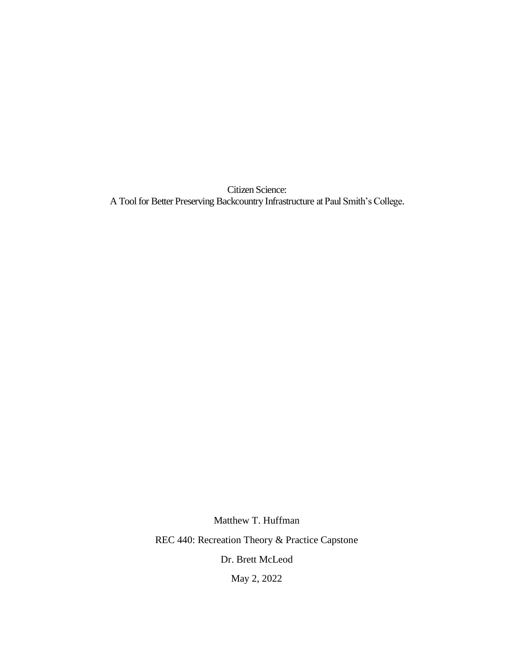Citizen Science: A Tool for Better Preserving Backcountry Infrastructure at Paul Smith's College.

> Matthew T. Huffman REC 440: Recreation Theory & Practice Capstone Dr. Brett McLeod May 2, 2022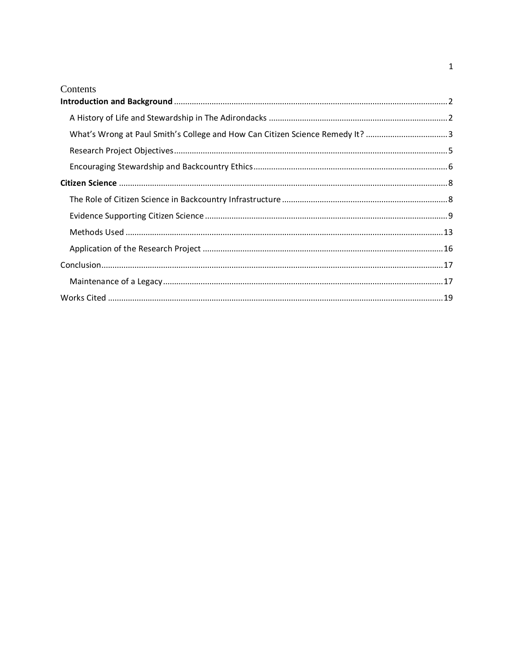| Contents                                                                      |  |
|-------------------------------------------------------------------------------|--|
|                                                                               |  |
|                                                                               |  |
| What's Wrong at Paul Smith's College and How Can Citizen Science Remedy It? 3 |  |
|                                                                               |  |
|                                                                               |  |
|                                                                               |  |
|                                                                               |  |
|                                                                               |  |
|                                                                               |  |
|                                                                               |  |
|                                                                               |  |
|                                                                               |  |
|                                                                               |  |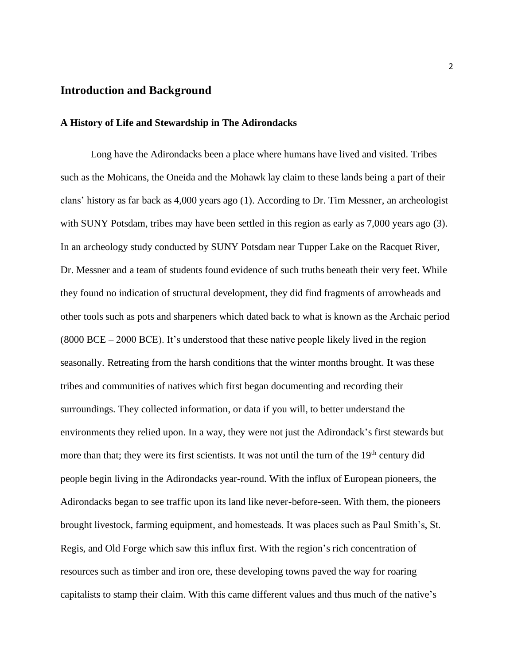## <span id="page-2-0"></span>**Introduction and Background**

#### <span id="page-2-1"></span>**A History of Life and Stewardship in The Adirondacks**

Long have the Adirondacks been a place where humans have lived and visited. Tribes such as the Mohicans, the Oneida and the Mohawk lay claim to these lands being a part of their clans' history as far back as 4,000 years ago (1). According to Dr. Tim Messner, an archeologist with SUNY Potsdam, tribes may have been settled in this region as early as 7,000 years ago (3). In an archeology study conducted by SUNY Potsdam near Tupper Lake on the Racquet River, Dr. Messner and a team of students found evidence of such truths beneath their very feet. While they found no indication of structural development, they did find fragments of arrowheads and other tools such as pots and sharpeners which dated back to what is known as the Archaic period (8000 BCE – 2000 BCE). It's understood that these native people likely lived in the region seasonally. Retreating from the harsh conditions that the winter months brought. It was these tribes and communities of natives which first began documenting and recording their surroundings. They collected information, or data if you will, to better understand the environments they relied upon. In a way, they were not just the Adirondack's first stewards but more than that; they were its first scientists. It was not until the turn of the 19<sup>th</sup> century did people begin living in the Adirondacks year-round. With the influx of European pioneers, the Adirondacks began to see traffic upon its land like never-before-seen. With them, the pioneers brought livestock, farming equipment, and homesteads. It was places such as Paul Smith's, St. Regis, and Old Forge which saw this influx first. With the region's rich concentration of resources such as timber and iron ore, these developing towns paved the way for roaring capitalists to stamp their claim. With this came different values and thus much of the native's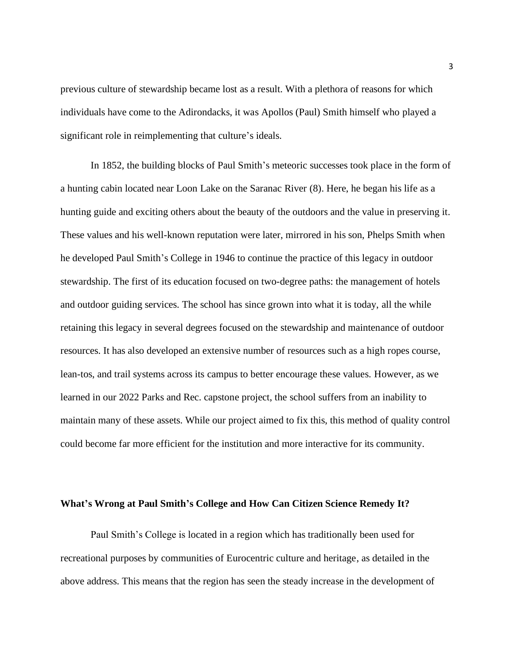previous culture of stewardship became lost as a result. With a plethora of reasons for which individuals have come to the Adirondacks, it was Apollos (Paul) Smith himself who played a significant role in reimplementing that culture's ideals.

In 1852, the building blocks of Paul Smith's meteoric successes took place in the form of a hunting cabin located near Loon Lake on the Saranac River (8). Here, he began his life as a hunting guide and exciting others about the beauty of the outdoors and the value in preserving it. These values and his well-known reputation were later, mirrored in his son, Phelps Smith when he developed Paul Smith's College in 1946 to continue the practice of this legacy in outdoor stewardship. The first of its education focused on two-degree paths: the management of hotels and outdoor guiding services. The school has since grown into what it is today, all the while retaining this legacy in several degrees focused on the stewardship and maintenance of outdoor resources. It has also developed an extensive number of resources such as a high ropes course, lean-tos, and trail systems across its campus to better encourage these values. However, as we learned in our 2022 Parks and Rec. capstone project, the school suffers from an inability to maintain many of these assets. While our project aimed to fix this, this method of quality control could become far more efficient for the institution and more interactive for its community.

#### <span id="page-3-0"></span>**What's Wrong at Paul Smith's College and How Can Citizen Science Remedy It?**

Paul Smith's College is located in a region which has traditionally been used for recreational purposes by communities of Eurocentric culture and heritage, as detailed in the above address. This means that the region has seen the steady increase in the development of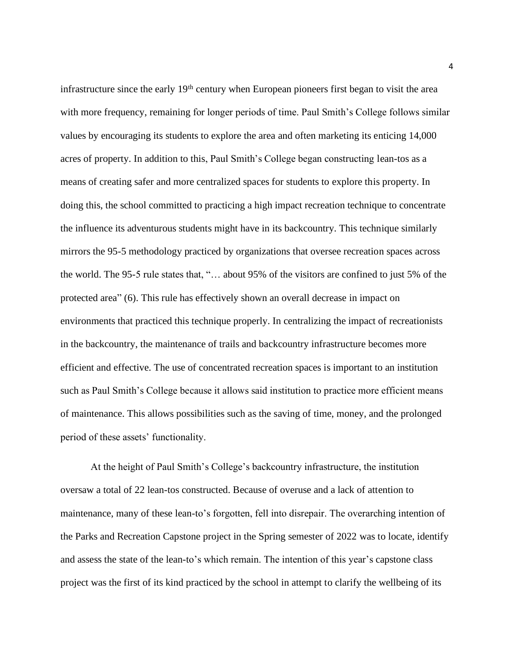infrastructure since the early 19<sup>th</sup> century when European pioneers first began to visit the area with more frequency, remaining for longer periods of time. Paul Smith's College follows similar values by encouraging its students to explore the area and often marketing its enticing 14,000 acres of property. In addition to this, Paul Smith's College began constructing lean-tos as a means of creating safer and more centralized spaces for students to explore this property. In doing this, the school committed to practicing a high impact recreation technique to concentrate the influence its adventurous students might have in its backcountry. This technique similarly mirrors the 95-5 methodology practiced by organizations that oversee recreation spaces across the world. The 95-5 rule states that, "… about 95% of the visitors are confined to just 5% of the protected area" (6). This rule has effectively shown an overall decrease in impact on environments that practiced this technique properly. In centralizing the impact of recreationists in the backcountry, the maintenance of trails and backcountry infrastructure becomes more efficient and effective. The use of concentrated recreation spaces is important to an institution such as Paul Smith's College because it allows said institution to practice more efficient means of maintenance. This allows possibilities such as the saving of time, money, and the prolonged period of these assets' functionality.

At the height of Paul Smith's College's backcountry infrastructure, the institution oversaw a total of 22 lean-tos constructed. Because of overuse and a lack of attention to maintenance, many of these lean-to's forgotten, fell into disrepair. The overarching intention of the Parks and Recreation Capstone project in the Spring semester of 2022 was to locate, identify and assess the state of the lean-to's which remain. The intention of this year's capstone class project was the first of its kind practiced by the school in attempt to clarify the wellbeing of its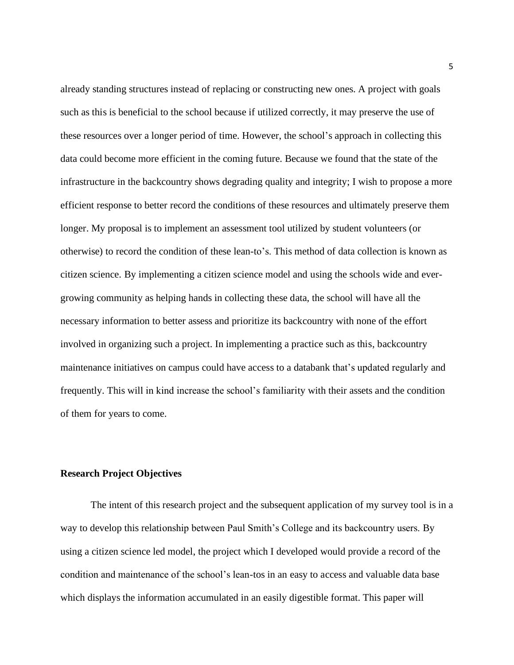already standing structures instead of replacing or constructing new ones. A project with goals such as this is beneficial to the school because if utilized correctly, it may preserve the use of these resources over a longer period of time. However, the school's approach in collecting this data could become more efficient in the coming future. Because we found that the state of the infrastructure in the backcountry shows degrading quality and integrity; I wish to propose a more efficient response to better record the conditions of these resources and ultimately preserve them longer. My proposal is to implement an assessment tool utilized by student volunteers (or otherwise) to record the condition of these lean-to's. This method of data collection is known as citizen science. By implementing a citizen science model and using the schools wide and evergrowing community as helping hands in collecting these data, the school will have all the necessary information to better assess and prioritize its backcountry with none of the effort involved in organizing such a project. In implementing a practice such as this, backcountry maintenance initiatives on campus could have access to a databank that's updated regularly and frequently. This will in kind increase the school's familiarity with their assets and the condition of them for years to come.

### <span id="page-5-0"></span>**Research Project Objectives**

The intent of this research project and the subsequent application of my survey tool is in a way to develop this relationship between Paul Smith's College and its backcountry users. By using a citizen science led model, the project which I developed would provide a record of the condition and maintenance of the school's lean-tos in an easy to access and valuable data base which displays the information accumulated in an easily digestible format. This paper will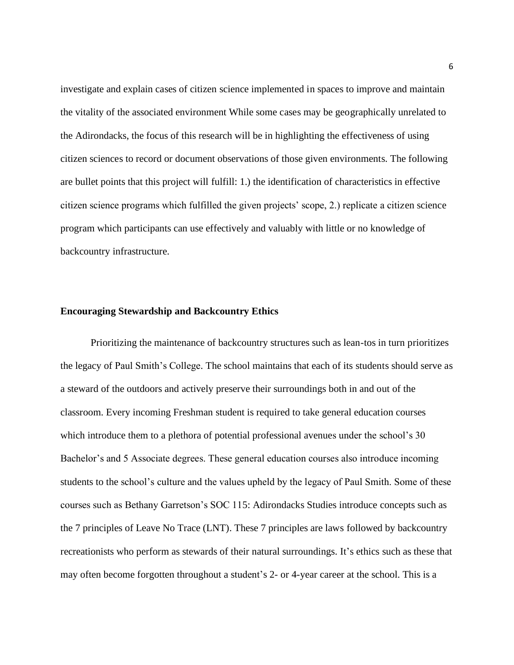investigate and explain cases of citizen science implemented in spaces to improve and maintain the vitality of the associated environment While some cases may be geographically unrelated to the Adirondacks, the focus of this research will be in highlighting the effectiveness of using citizen sciences to record or document observations of those given environments. The following are bullet points that this project will fulfill: 1.) the identification of characteristics in effective citizen science programs which fulfilled the given projects' scope, 2.) replicate a citizen science program which participants can use effectively and valuably with little or no knowledge of backcountry infrastructure.

#### <span id="page-6-0"></span>**Encouraging Stewardship and Backcountry Ethics**

Prioritizing the maintenance of backcountry structures such as lean-tos in turn prioritizes the legacy of Paul Smith's College. The school maintains that each of its students should serve as a steward of the outdoors and actively preserve their surroundings both in and out of the classroom. Every incoming Freshman student is required to take general education courses which introduce them to a plethora of potential professional avenues under the school's 30 Bachelor's and 5 Associate degrees. These general education courses also introduce incoming students to the school's culture and the values upheld by the legacy of Paul Smith. Some of these courses such as Bethany Garretson's SOC 115: Adirondacks Studies introduce concepts such as the 7 principles of Leave No Trace (LNT). These 7 principles are laws followed by backcountry recreationists who perform as stewards of their natural surroundings. It's ethics such as these that may often become forgotten throughout a student's 2- or 4-year career at the school. This is a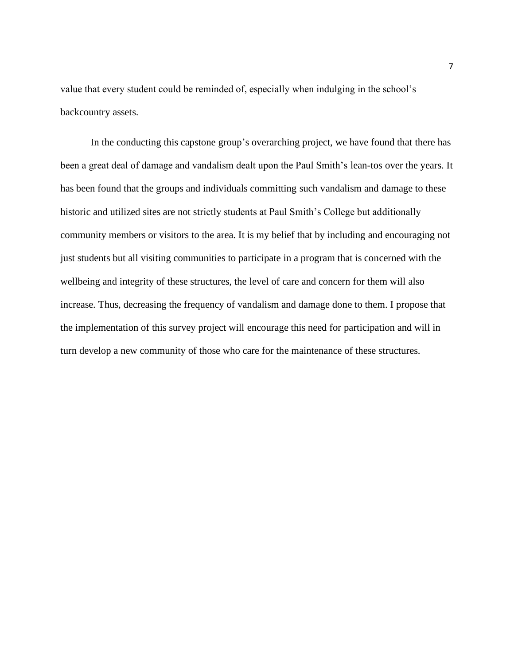value that every student could be reminded of, especially when indulging in the school's backcountry assets.

In the conducting this capstone group's overarching project, we have found that there has been a great deal of damage and vandalism dealt upon the Paul Smith's lean-tos over the years. It has been found that the groups and individuals committing such vandalism and damage to these historic and utilized sites are not strictly students at Paul Smith's College but additionally community members or visitors to the area. It is my belief that by including and encouraging not just students but all visiting communities to participate in a program that is concerned with the wellbeing and integrity of these structures, the level of care and concern for them will also increase. Thus, decreasing the frequency of vandalism and damage done to them. I propose that the implementation of this survey project will encourage this need for participation and will in turn develop a new community of those who care for the maintenance of these structures.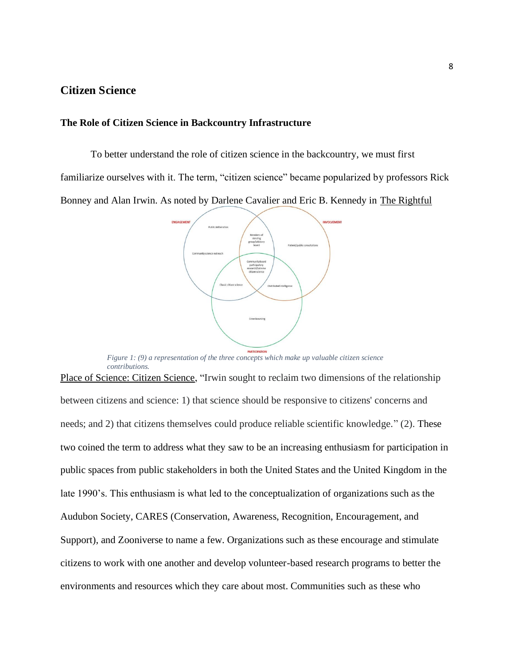# <span id="page-8-0"></span>**Citizen Science**

### <span id="page-8-1"></span>**The Role of Citizen Science in Backcountry Infrastructure**

To better understand the role of citizen science in the backcountry, we must first familiarize ourselves with it. The term, "citizen science" became popularized by professors Rick Bonney and Alan Irwin. As noted by Darlene Cavalier and Eric B. Kennedy in The Rightful



*Figure 1: (9) a representation of the three concepts which make up valuable citizen science contributions.*

Place of Science: Citizen Science, "Irwin sought to reclaim two dimensions of the relationship between citizens and science: 1) that science should be responsive to citizens' concerns and needs; and 2) that citizens themselves could produce reliable scientific knowledge." (2). These two coined the term to address what they saw to be an increasing enthusiasm for participation in public spaces from public stakeholders in both the United States and the United Kingdom in the late 1990's. This enthusiasm is what led to the conceptualization of organizations such as the Audubon Society, CARES (Conservation, Awareness, Recognition, Encouragement, and Support), and Zooniverse to name a few. Organizations such as these encourage and stimulate citizens to work with one another and develop volunteer-based research programs to better the environments and resources which they care about most. Communities such as these who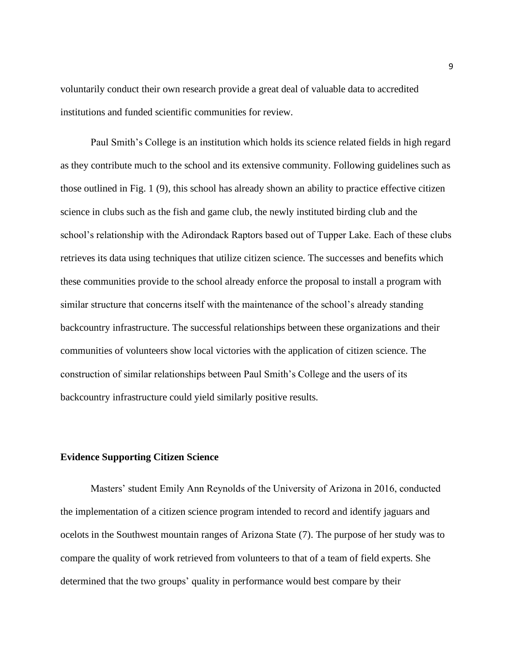voluntarily conduct their own research provide a great deal of valuable data to accredited institutions and funded scientific communities for review.

Paul Smith's College is an institution which holds its science related fields in high regard as they contribute much to the school and its extensive community. Following guidelines such as those outlined in Fig. 1 (9), this school has already shown an ability to practice effective citizen science in clubs such as the fish and game club, the newly instituted birding club and the school's relationship with the Adirondack Raptors based out of Tupper Lake. Each of these clubs retrieves its data using techniques that utilize citizen science. The successes and benefits which these communities provide to the school already enforce the proposal to install a program with similar structure that concerns itself with the maintenance of the school's already standing backcountry infrastructure. The successful relationships between these organizations and their communities of volunteers show local victories with the application of citizen science. The construction of similar relationships between Paul Smith's College and the users of its backcountry infrastructure could yield similarly positive results.

#### <span id="page-9-0"></span>**Evidence Supporting Citizen Science**

Masters' student Emily Ann Reynolds of the University of Arizona in 2016, conducted the implementation of a citizen science program intended to record and identify jaguars and ocelots in the Southwest mountain ranges of Arizona State (7). The purpose of her study was to compare the quality of work retrieved from volunteers to that of a team of field experts. She determined that the two groups' quality in performance would best compare by their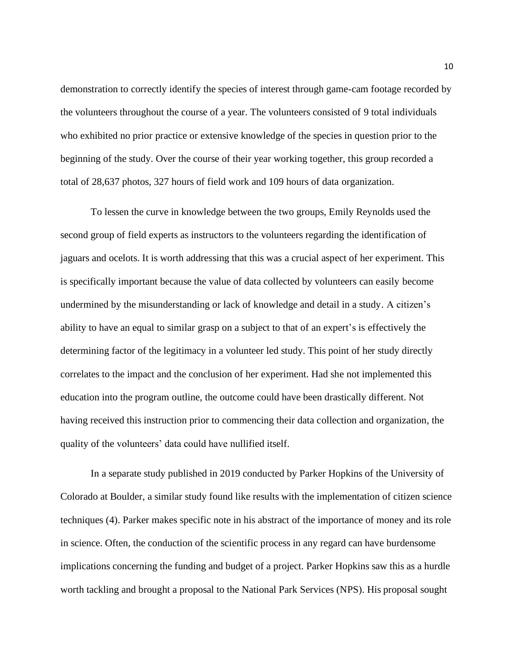demonstration to correctly identify the species of interest through game-cam footage recorded by the volunteers throughout the course of a year. The volunteers consisted of 9 total individuals who exhibited no prior practice or extensive knowledge of the species in question prior to the beginning of the study. Over the course of their year working together, this group recorded a total of 28,637 photos, 327 hours of field work and 109 hours of data organization.

To lessen the curve in knowledge between the two groups, Emily Reynolds used the second group of field experts as instructors to the volunteers regarding the identification of jaguars and ocelots. It is worth addressing that this was a crucial aspect of her experiment. This is specifically important because the value of data collected by volunteers can easily become undermined by the misunderstanding or lack of knowledge and detail in a study. A citizen's ability to have an equal to similar grasp on a subject to that of an expert's is effectively the determining factor of the legitimacy in a volunteer led study. This point of her study directly correlates to the impact and the conclusion of her experiment. Had she not implemented this education into the program outline, the outcome could have been drastically different. Not having received this instruction prior to commencing their data collection and organization, the quality of the volunteers' data could have nullified itself.

In a separate study published in 2019 conducted by Parker Hopkins of the University of Colorado at Boulder, a similar study found like results with the implementation of citizen science techniques (4). Parker makes specific note in his abstract of the importance of money and its role in science. Often, the conduction of the scientific process in any regard can have burdensome implications concerning the funding and budget of a project. Parker Hopkins saw this as a hurdle worth tackling and brought a proposal to the National Park Services (NPS). His proposal sought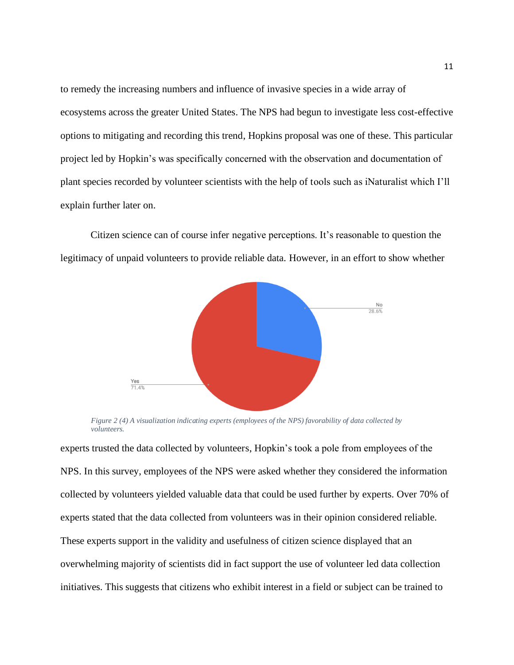to remedy the increasing numbers and influence of invasive species in a wide array of ecosystems across the greater United States. The NPS had begun to investigate less cost-effective options to mitigating and recording this trend, Hopkins proposal was one of these. This particular project led by Hopkin's was specifically concerned with the observation and documentation of plant species recorded by volunteer scientists with the help of tools such as iNaturalist which I'll explain further later on.

Citizen science can of course infer negative perceptions. It's reasonable to question the legitimacy of unpaid volunteers to provide reliable data. However, in an effort to show whether



*Figure 2 (4) A visualization indicating experts (employees of the NPS) favorability of data collected by volunteers.*

experts trusted the data collected by volunteers, Hopkin's took a pole from employees of the NPS. In this survey, employees of the NPS were asked whether they considered the information collected by volunteers yielded valuable data that could be used further by experts. Over 70% of experts stated that the data collected from volunteers was in their opinion considered reliable. These experts support in the validity and usefulness of citizen science displayed that an overwhelming majority of scientists did in fact support the use of volunteer led data collection initiatives. This suggests that citizens who exhibit interest in a field or subject can be trained to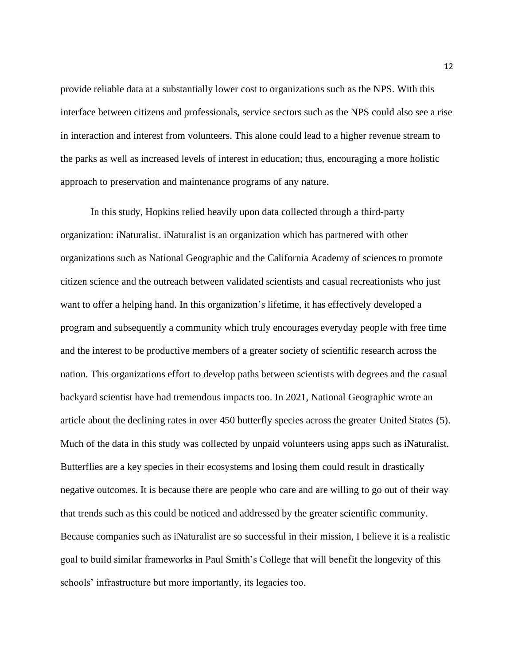provide reliable data at a substantially lower cost to organizations such as the NPS. With this interface between citizens and professionals, service sectors such as the NPS could also see a rise in interaction and interest from volunteers. This alone could lead to a higher revenue stream to the parks as well as increased levels of interest in education; thus, encouraging a more holistic approach to preservation and maintenance programs of any nature.

In this study, Hopkins relied heavily upon data collected through a third-party organization: iNaturalist. iNaturalist is an organization which has partnered with other organizations such as National Geographic and the California Academy of sciences to promote citizen science and the outreach between validated scientists and casual recreationists who just want to offer a helping hand. In this organization's lifetime, it has effectively developed a program and subsequently a community which truly encourages everyday people with free time and the interest to be productive members of a greater society of scientific research across the nation. This organizations effort to develop paths between scientists with degrees and the casual backyard scientist have had tremendous impacts too. In 2021, National Geographic wrote an article about the declining rates in over 450 butterfly species across the greater United States (5). Much of the data in this study was collected by unpaid volunteers using apps such as iNaturalist. Butterflies are a key species in their ecosystems and losing them could result in drastically negative outcomes. It is because there are people who care and are willing to go out of their way that trends such as this could be noticed and addressed by the greater scientific community. Because companies such as iNaturalist are so successful in their mission, I believe it is a realistic goal to build similar frameworks in Paul Smith's College that will benefit the longevity of this schools' infrastructure but more importantly, its legacies too.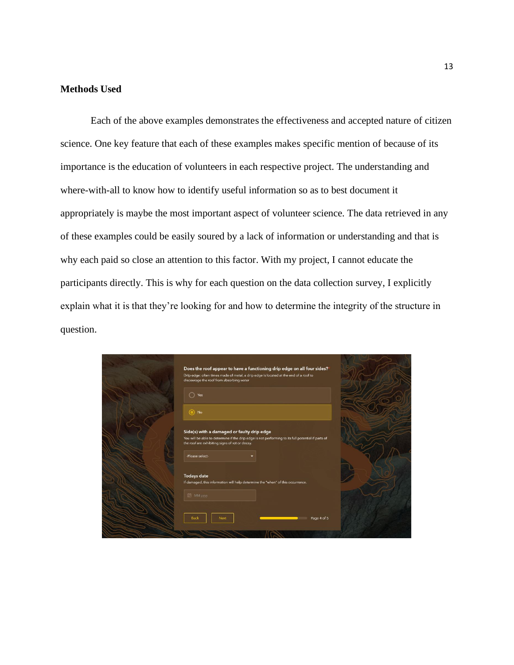## <span id="page-13-0"></span>**Methods Used**

Each of the above examples demonstrates the effectiveness and accepted nature of citizen science. One key feature that each of these examples makes specific mention of because of its importance is the education of volunteers in each respective project. The understanding and where-with-all to know how to identify useful information so as to best document it appropriately is maybe the most important aspect of volunteer science. The data retrieved in any of these examples could be easily soured by a lack of information or understanding and that is why each paid so close an attention to this factor. With my project, I cannot educate the participants directly. This is why for each question on the data collection survey, I explicitly explain what it is that they're looking for and how to determine the integrity of the structure in question.

| Does the roof appear to have a functioning drip edge on all four sides?<br>Drip edge: often times made of metal, a drip edge is located at the end of a roof to<br>discourage the roof from absorbing water |
|-------------------------------------------------------------------------------------------------------------------------------------------------------------------------------------------------------------|
| Yes<br>$\odot$ No                                                                                                                                                                                           |
| Side(s) with a damaged or faulty drip edge<br>You will be able to determine if the drip edge is not performing to its full potential if parts of<br>the roof are exhibiting signs of rot or decay.          |
| -Please select-                                                                                                                                                                                             |
| <b>Todays date</b><br>If damaged, this information will help determine the "when" of this occurrence.                                                                                                       |
| <b>画</b> MM yyyy                                                                                                                                                                                            |
| <b>Back</b><br>Page 4 of 5<br>Next                                                                                                                                                                          |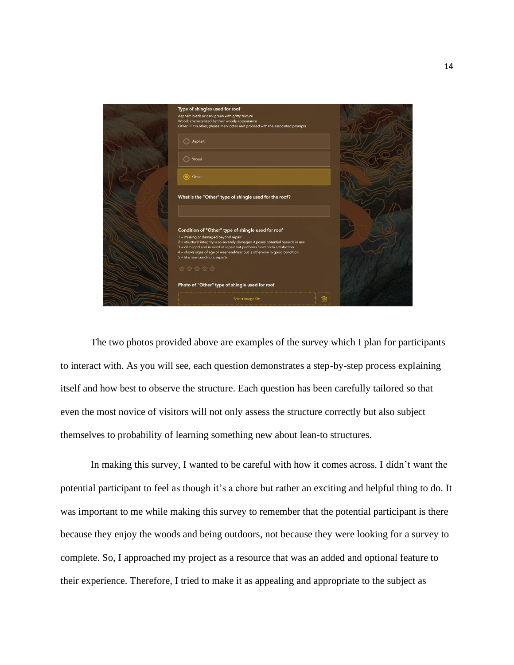

The two photos provided above are examples of the survey which I plan for participants to interact with. As you will see, each question demonstrates a step-by-step process explaining itself and how best to observe the structure. Each question has been carefully tailored so that even the most novice of visitors will not only assess the structure correctly but also subject themselves to probability of learning something new about lean-to structures.

In making this survey, I wanted to be careful with how it comes across. I didn't want the potential participant to feel as though it's a chore but rather an exciting and helpful thing to do. It was important to me while making this survey to remember that the potential participant is there because they enjoy the woods and being outdoors, not because they were looking for a survey to complete. So, I approached my project as a resource that was an added and optional feature to their experience. Therefore, I tried to make it as appealing and appropriate to the subject as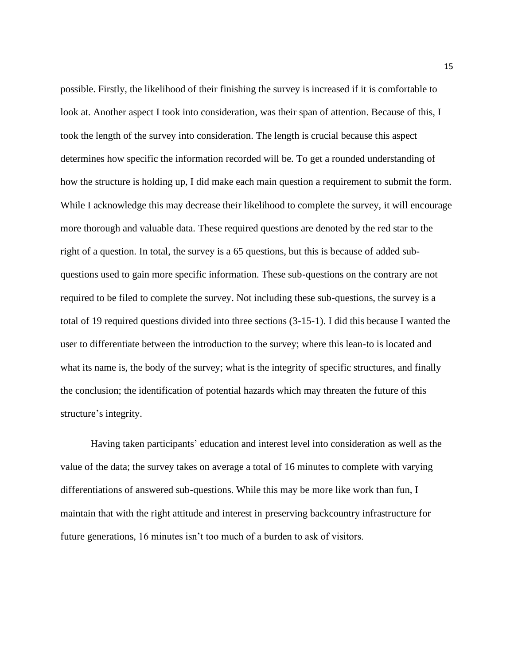possible. Firstly, the likelihood of their finishing the survey is increased if it is comfortable to look at. Another aspect I took into consideration, was their span of attention. Because of this, I took the length of the survey into consideration. The length is crucial because this aspect determines how specific the information recorded will be. To get a rounded understanding of how the structure is holding up, I did make each main question a requirement to submit the form. While I acknowledge this may decrease their likelihood to complete the survey, it will encourage more thorough and valuable data. These required questions are denoted by the red star to the right of a question. In total, the survey is a 65 questions, but this is because of added subquestions used to gain more specific information. These sub-questions on the contrary are not required to be filed to complete the survey. Not including these sub-questions, the survey is a total of 19 required questions divided into three sections (3-15-1). I did this because I wanted the user to differentiate between the introduction to the survey; where this lean-to is located and what its name is, the body of the survey; what is the integrity of specific structures, and finally the conclusion; the identification of potential hazards which may threaten the future of this structure's integrity.

Having taken participants' education and interest level into consideration as well as the value of the data; the survey takes on average a total of 16 minutes to complete with varying differentiations of answered sub-questions. While this may be more like work than fun, I maintain that with the right attitude and interest in preserving backcountry infrastructure for future generations, 16 minutes isn't too much of a burden to ask of visitors.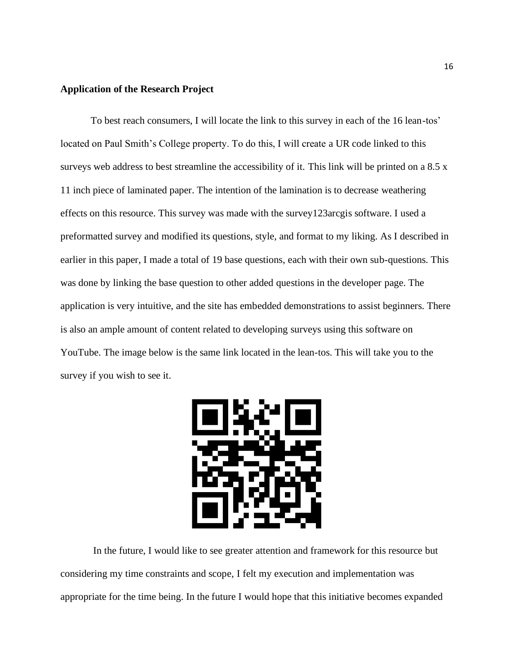### <span id="page-16-0"></span>**Application of the Research Project**

To best reach consumers, I will locate the link to this survey in each of the 16 lean-tos' located on Paul Smith's College property. To do this, I will create a UR code linked to this surveys web address to best streamline the accessibility of it. This link will be printed on a 8.5 x 11 inch piece of laminated paper. The intention of the lamination is to decrease weathering effects on this resource. This survey was made with the survey123arcgis software. I used a preformatted survey and modified its questions, style, and format to my liking. As I described in earlier in this paper, I made a total of 19 base questions, each with their own sub-questions. This was done by linking the base question to other added questions in the developer page. The application is very intuitive, and the site has embedded demonstrations to assist beginners. There is also an ample amount of content related to developing surveys using this software on YouTube. The image below is the same link located in the lean-tos. This will take you to the survey if you wish to see it.



In the future, I would like to see greater attention and framework for this resource but considering my time constraints and scope, I felt my execution and implementation was appropriate for the time being. In the future I would hope that this initiative becomes expanded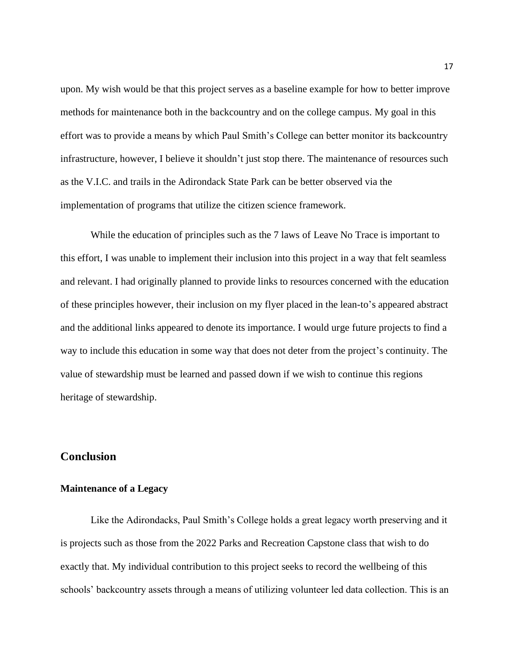upon. My wish would be that this project serves as a baseline example for how to better improve methods for maintenance both in the backcountry and on the college campus. My goal in this effort was to provide a means by which Paul Smith's College can better monitor its backcountry infrastructure, however, I believe it shouldn't just stop there. The maintenance of resources such as the V.I.C. and trails in the Adirondack State Park can be better observed via the implementation of programs that utilize the citizen science framework.

While the education of principles such as the 7 laws of Leave No Trace is important to this effort, I was unable to implement their inclusion into this project in a way that felt seamless and relevant. I had originally planned to provide links to resources concerned with the education of these principles however, their inclusion on my flyer placed in the lean-to's appeared abstract and the additional links appeared to denote its importance. I would urge future projects to find a way to include this education in some way that does not deter from the project's continuity. The value of stewardship must be learned and passed down if we wish to continue this regions heritage of stewardship.

## <span id="page-17-0"></span>**Conclusion**

### <span id="page-17-1"></span>**Maintenance of a Legacy**

Like the Adirondacks, Paul Smith's College holds a great legacy worth preserving and it is projects such as those from the 2022 Parks and Recreation Capstone class that wish to do exactly that. My individual contribution to this project seeks to record the wellbeing of this schools' backcountry assets through a means of utilizing volunteer led data collection. This is an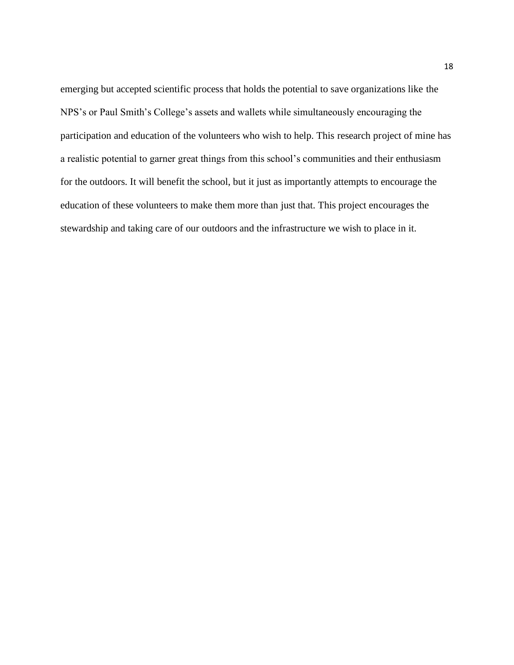emerging but accepted scientific process that holds the potential to save organizations like the NPS's or Paul Smith's College's assets and wallets while simultaneously encouraging the participation and education of the volunteers who wish to help. This research project of mine has a realistic potential to garner great things from this school's communities and their enthusiasm for the outdoors. It will benefit the school, but it just as importantly attempts to encourage the education of these volunteers to make them more than just that. This project encourages the stewardship and taking care of our outdoors and the infrastructure we wish to place in it.